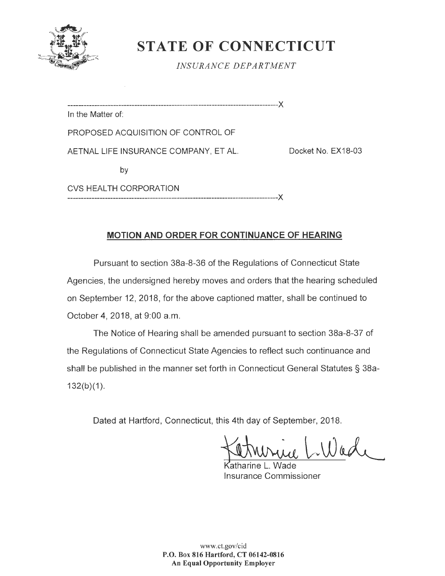

## **STATE OF CONNECTICUT**

*INSURANCE DEPARTMENT* 

------------------------------------------------------------------------------->< In the Matter of: PROPOSED ACQUISITION OF CONTROL OF AETNAL LIFE INSURANCE COMPANY, ET AL. Docket No. EX18-03 by

CVS HEALTH CORPORATION -------------------------------------------------------------------------------><

## **MOTION AND ORDER FOR CONTINUANCE OF HEARING**

Pursuant to section 38a-8-36 of the Regulations of Connecticut State Agencies, the undersigned hereby moves and orders that the hearing scheduled on September 12, 2018, for the above captioned matter, shall be continued to October 4, 2018, at 9:00 a.m.

The Notice of Hearing shall be amended pursuant to section 38a-8-37 of the Regulations of Connecticut State Agencies to reflect such continuance and shall be published in the manner set forth in Connecticut General Statutes § 38a- $132(b)(1)$ .

Dated at Hartford, Connecticut, this 4th day of September, 2018.

Wade

atharine L. Wade Insurance Commissioner

www.ct.gov/cid **P.O. Box 816 Hartford, CT 06142-0816 An Equal Opportunity Employer**